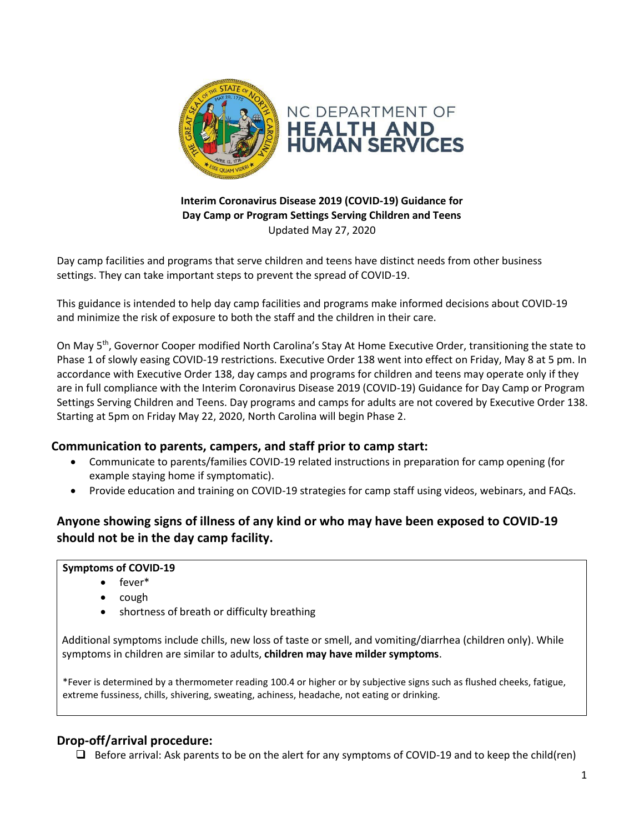

#### **Interim Coronavirus Disease 2019 (COVID-19) Guidance for Day Camp or Program Settings Serving Children and Teens** Updated May 27, 2020

Day camp facilities and programs that serve children and teens have distinct needs from other business settings. They can take important steps to prevent the spread of COVID-19.

This guidance is intended to help day camp facilities and programs make informed decisions about COVID-19 and minimize the risk of exposure to both the staff and the children in their care.

On May 5<sup>th</sup>, Governor Cooper modified North Carolina's Stay At Home Executive Order, transitioning the state to Phase 1 of slowly easing COVID-19 restrictions. Executive Order 138 went into effect on Friday, May 8 at 5 pm. In accordance with Executive Order 138, day camps and programs for children and teens may operate only if they are in full compliance with the Interim Coronavirus Disease 2019 (COVID-19) Guidance for Day Camp or Program Settings Serving Children and Teens. Day programs and camps for adults are not covered by Executive Order 138. Starting at 5pm on Friday May 22, 2020, North Carolina will begin Phase 2.

## **Communication to parents, campers, and staff prior to camp start:**

- Communicate to parents/families COVID-19 related instructions in preparation for camp opening (for example staying home if symptomatic).
- Provide education and training on COVID-19 strategies for camp staff using videos, webinars, and FAQs.

# **Anyone showing signs of illness of any kind or who may have been exposed to COVID-19 should not be in the day camp facility.**

#### **Symptoms of COVID-19**

- fever\*
- cough
- shortness of breath or difficulty breathing

Additional symptoms include chills, new loss of taste or smell, and vomiting/diarrhea (children only). While symptoms in children are similar to adults, **children may have milder symptoms**.

\*Fever is determined by a thermometer reading 100.4 or higher or by subjective signs such as flushed cheeks, fatigue, extreme fussiness, chills, shivering, sweating, achiness, headache, not eating or drinking.

## **Drop-off/arrival procedure:**

❑ Before arrival: Ask parents to be on the alert for any symptoms of COVID-19 and to keep the child(ren)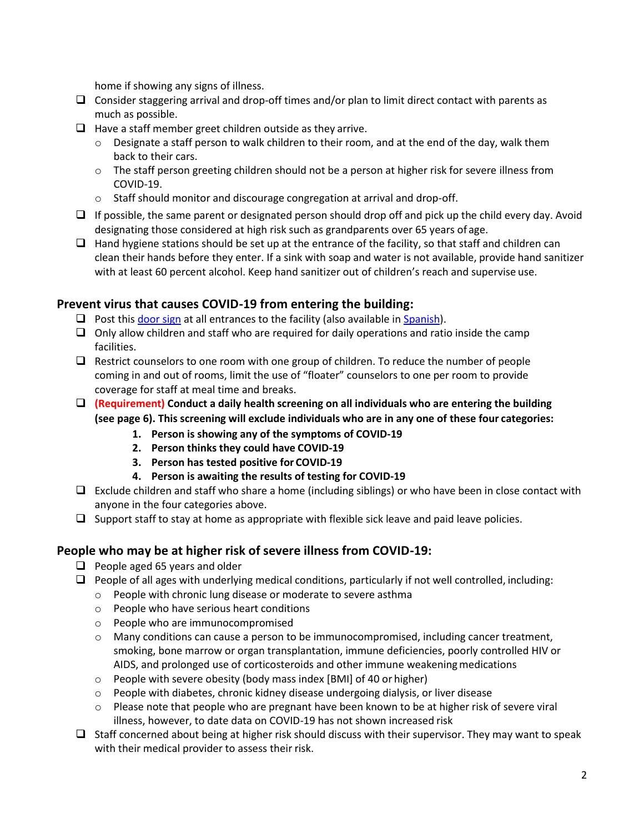home if showing any signs of illness.

- $\Box$  Consider staggering arrival and drop-off times and/or plan to limit direct contact with parents as much as possible.
- $\Box$  Have a staff member greet children outside as they arrive.
	- $\circ$  Designate a staff person to walk children to their room, and at the end of the day, walk them back to their cars.
	- $\circ$  The staff person greeting children should not be a person at higher risk for severe illness from COVID-19.
	- o Staff should monitor and discourage congregation at arrival and drop-off.
- $\Box$  If possible, the same parent or designated person should drop off and pick up the child every day. Avoid designating those considered at high risk such as grandparents over 65 years of age.
- $\Box$  Hand hygiene stations should be set up at the entrance of the facility, so that staff and children can clean their hands before they enter. If a sink with soap and water is not available, provide hand sanitizer with at least 60 percent alcohol. Keep hand sanitizer out of children's reach and supervise use.

## **Prevent virus that causes COVID-19 from entering the building:**

- $\Box$  Post thi[s door sign](https://files.nc.gov/ncdhhs/documents/files/covid-19/Camp-Door-Sign-English.pdf) at all entrances to the facility (also available i[n Spanish\)](https://files.nc.gov/ncdhhs/documents/files/covid-19/Camp-Door-Sign-Spanish.pdf).
- $\Box$  Only allow children and staff who are required for daily operations and ratio inside the camp facilities.
- ❑ Restrict counselors to one room with one group of children. To reduce the number of people coming in and out of rooms, limit the use of "floater" counselors to one per room to provide coverage for staff at meal time and breaks.
- ❑ **(Requirement) Conduct a daily health screening on all individuals who are entering the building (see page 6). This screening will exclude individuals who are in any one of these four categories:**
	- **1. Person is showing any of the symptoms of COVID-19**
	- **2. Person thinks they could have COVID-19**
	- **3. Person has tested positive for COVID-19**
	- **4. Person is awaiting the results of testing for COVID-19**
- ❑ Exclude children and staff who share a home (including siblings) or who have been in close contact with anyone in the four categories above.
- $\Box$  Support staff to stay at home as appropriate with flexible sick leave and paid leave policies.

# **People who may be at higher risk of severe illness from COVID-19:**

- ❑ People aged 65 years and older
- $\Box$  People of all ages with underlying medical conditions, particularly if not well controlled, including:
	- o People with chronic lung disease or moderate to severe asthma
	- o People who have serious heart conditions
	- o People who are immunocompromised
	- o Many conditions can cause a person to be immunocompromised, including cancer treatment, smoking, bone marrow or organ transplantation, immune deficiencies, poorly controlled HIV or AIDS, and prolonged use of corticosteroids and other immune weakeningmedications
	- o People with severe obesity (body mass index [BMI] of 40 or higher)
	- $\circ$  People with diabetes, chronic kidney disease undergoing dialysis, or liver disease
	- $\circ$  Please note that people who are pregnant have been known to be at higher risk of severe viral illness, however, to date data on COVID-19 has not shown increased risk
- $\Box$  Staff concerned about being at higher risk should discuss with their supervisor. They may want to speak with their medical provider to assess their risk.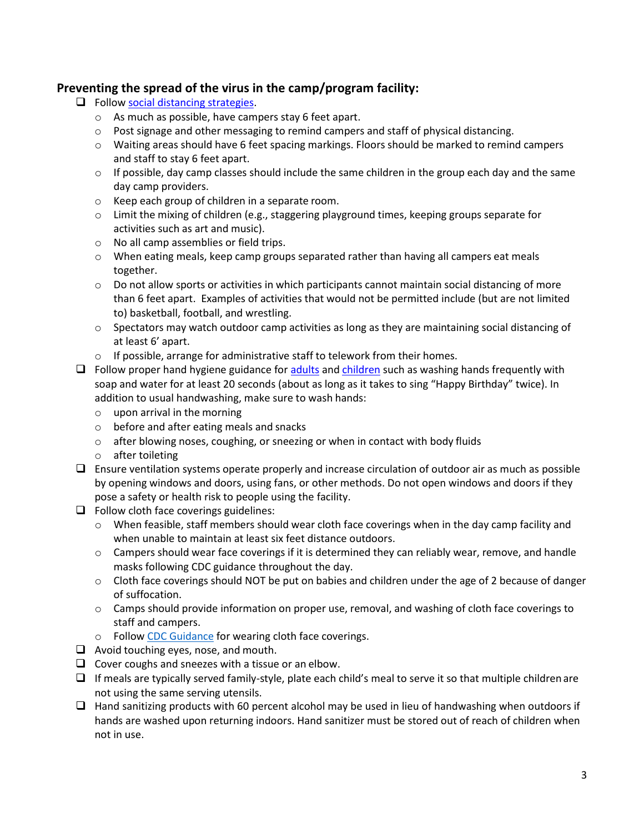## **Preventing the spread of the virus in the camp/program facility:**

- ❑ Follow [social distancing strategies.](https://www.cdc.gov/coronavirus/2019-ncov/community/schools-childcare/guidance-for-childcare.html#SocialDistancing)
	- o As much as possible, have campers stay 6 feet apart.
	- $\circ$  Post signage and other messaging to remind campers and staff of physical distancing.
	- $\circ$  Waiting areas should have 6 feet spacing markings. Floors should be marked to remind campers and staff to stay 6 feet apart.
	- o If possible, day camp classes should include the same children in the group each day and the same day camp providers.
	- o Keep each group of children in a separate room.
	- $\circ$  Limit the mixing of children (e.g., staggering playground times, keeping groups separate for activities such as art and music).
	- o No all camp assemblies or field trips.
	- o When eating meals, keep camp groups separated rather than having all campers eat meals together.
	- $\circ$  Do not allow sports or activities in which participants cannot maintain social distancing of more than 6 feet apart. Examples of activities that would not be permitted include (but are not limited to) basketball, football, and wrestling.
	- o Spectators may watch outdoor camp activities as long as they are maintaining social distancing of at least 6' apart.
	- o If possible, arrange for administrative staff to telework from their homes.
- $\Box$  Follow proper hand hygiene guidance for **adults** an[d children](http://healthychildcare.unc.edu/files/2018/09/Child-Handwashing-Poster-Eng-Sp.pdf) such as washing hands frequently with soap and water for at least 20 seconds (about as long as it takes to sing "Happy Birthday" twice). In addition to usual handwashing, make sure to wash hands:
	- o upon arrival in the morning
	- o before and after eating meals and snacks
	- $\circ$  after blowing noses, coughing, or sneezing or when in contact with body fluids
	- o after toileting
- ❑ Ensure ventilation systems operate properly and increase circulation of outdoor air as much as possible by opening windows and doors, using fans, or other methods. Do not open windows and doors if they pose a safety or health risk to people using the facility.
- $\Box$  Follow cloth face coverings guidelines:
	- $\circ$  When feasible, staff members should wear cloth face coverings when in the day camp facility and when unable to maintain at least six feet distance outdoors.
	- o Campers should wear face coverings if it is determined they can reliably wear, remove, and handle masks following CDC guidance throughout the day.
	- $\circ$  Cloth face coverings should NOT be put on babies and children under the age of 2 because of danger of suffocation.
	- $\circ$  Camps should provide information on proper use, removal, and washing of cloth face coverings to staff and campers.
	- o Follow [CDC Guidance](https://www.cdc.gov/coronavirus/2019-ncov/prevent-getting-sick/diy-cloth-face-coverings.html) for wearing cloth face coverings.
- ❑ Avoid touching eyes, nose, and mouth.
- ❑ Cover coughs and sneezes with a tissue or an elbow.
- $\Box$  If meals are typically served family-style, plate each child's meal to serve it so that multiple children are not using the same serving utensils.
- ❑ Hand sanitizing products with 60 percent alcohol may be used in lieu of handwashing when outdoors if hands are washed upon returning indoors. Hand sanitizer must be stored out of reach of children when not in use.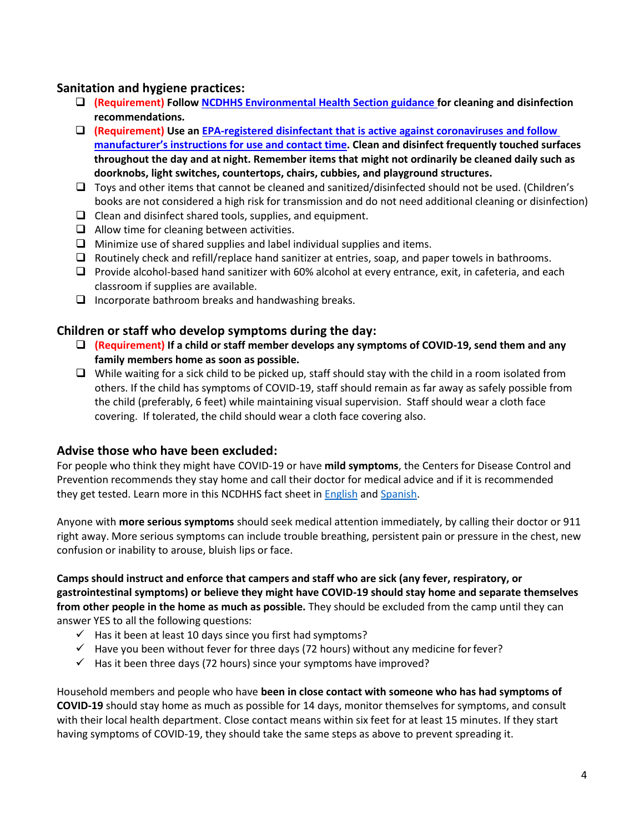## **Sanitation and hygiene practices:**

- ❑ **(Requirement) Follo[w NCDHHS Environmental Health Section guidance f](https://ehs.ncpublichealth.com/docs/covid19/ChildCareandSchoolGuidance-COVID-19-03202020.pdf)or cleaning and disinfection recommendations.**
- ❑ **(Requirement) Use an [EPA-registered disinfectant that is active against coronaviruses](https://www.epa.gov/pesticide-registration/list-n-disinfectants-use-against-sars-cov-2) and follow manufacturer's instructions for use and contact time. Clean and disinfect frequently touched surfaces throughout the day and at night. Remember items that might not ordinarily be cleaned daily such as doorknobs, light switches, countertops, chairs, cubbies, and playground structures.**
- ❑ Toys and other items that cannot be cleaned and sanitized/disinfected should not be used. (Children's books are not considered a high risk for transmission and do not need additional cleaning or disinfection)
- ❑ Clean and disinfect shared tools, supplies, and equipment.
- ❑ Allow time for cleaning between activities.
- $\Box$  Minimize use of shared supplies and label individual supplies and items.
- ❑ Routinely check and refill/replace hand sanitizer at entries, soap, and paper towels in bathrooms.
- ❑ Provide alcohol-based hand sanitizer with 60% alcohol at every entrance, exit, in cafeteria, and each classroom if supplies are available.
- □ Incorporate bathroom breaks and handwashing breaks.

#### **Children or staff who develop symptoms during the day:**

- ❑ **(Requirement) If a child or staff member develops any symptoms of COVID-19, send them and any family members home as soon as possible.**
- ❑ While waiting for a sick child to be picked up, staff should stay with the child in a room isolated from others. If the child has symptoms of COVID-19, staff should remain as far away as safely possible from the child (preferably, 6 feet) while maintaining visual supervision. Staff should wear a cloth face covering. If tolerated, the child should wear a cloth face covering also.

#### **Advise those who have been excluded:**

For people who think they might have COVID-19 or have **mild symptoms**, the Centers for Disease Control and Prevention recommends they stay home and call their doctor for medical advice and if it is recommended they get tested. Learn more in this NCDHHS fact sheet i[n English](http://files.nc.gov/ncdhhs/documents/files/covid-19/C19-PatientGuidance-3.23.20-FINAL--003-.pdf) and [Spanish.](https://files.nc.gov/ncdhhs/documents/files/covid-19/C19-PatientGuidance_3.24.20-SPA.pdf)

Anyone with **more serious symptoms** should seek medical attention immediately, by calling their doctor or 911 right away. More serious symptoms can include trouble breathing, persistent pain or pressure in the chest, new confusion or inability to arouse, bluish lips or face.

**Camps should instruct and enforce that campers and staff who are sick (any fever, respiratory, or gastrointestinal symptoms) or believe they might have COVID-19 should stay home and separate themselves from other people in the home as much as possible.** They should be excluded from the camp until they can answer YES to all the following questions:

- $\checkmark$  Has it been at least 10 days since you first had symptoms?
- $\checkmark$  Have you been without fever for three days (72 hours) without any medicine for fever?
- $\checkmark$  Has it been three days (72 hours) since your symptoms have improved?

Household members and people who have **been in close contact with someone who has had symptoms of COVID-19** should stay home as much as possible for 14 days, monitor themselves for symptoms, and consult with their local health department. Close contact means within six feet for at least 15 minutes. If they start having symptoms of COVID-19, they should take the same steps as above to prevent spreading it.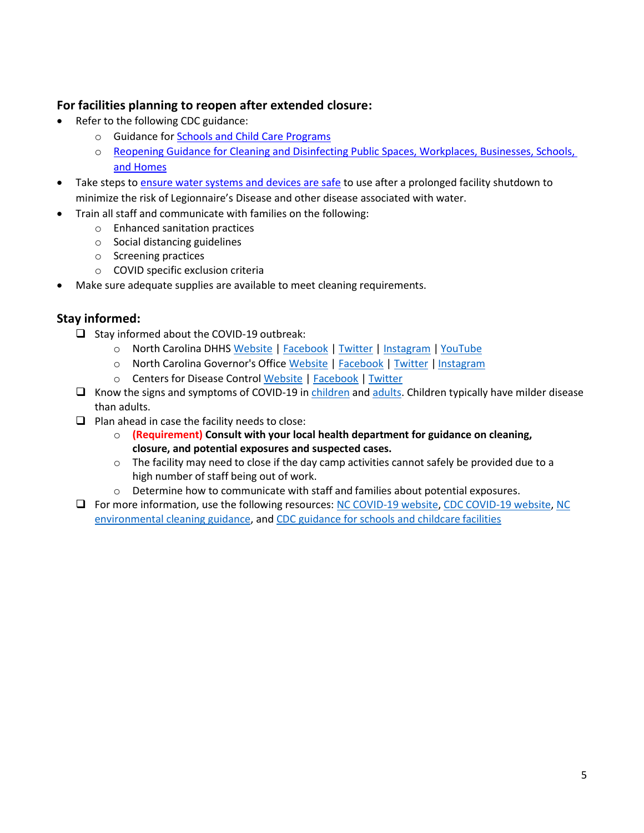## **For facilities planning to reopen after extended closure:**

- Refer to the following CDC guidance:
	- o Guidance for [Schools and Child Care Programs](https://www.cdc.gov/coronavirus/2019-ncov/community/schools-childcare/index.html)
	- o [Reopening Guidance for Cleaning and Disinfecting Public Spaces, Workplaces, Businesses, Schools,](https://www.cdc.gov/coronavirus/2019-ncov/community/reopen-guidance.html)  [and Homes](https://www.cdc.gov/coronavirus/2019-ncov/community/reopen-guidance.html)
- Take steps to [ensure water systems and devices](https://www.cdc.gov/coronavirus/2019-ncov/php/building-water-system.html) are safe to use after a prolonged facility shutdown to minimize the risk of Legionnaire's Disease and other disease associated with water.
- Train all staff and communicate with families on the following:
	- o Enhanced sanitation practices
	- o Social distancing guidelines
	- o Screening practices
	- o COVID specific exclusion criteria
- Make sure adequate supplies are available to meet cleaning requirements.

# **Stay informed:**

- ❑ Stay informed about the COVID-19 outbreak:
	- o North Carolina DHHS [Website](https://www.ncdhhs.gov/divisions/public-health/coronavirus-disease-2019-covid-19-response-north-carolina) | [Facebook](https://www.facebook.com/ncdhhs/) | [Twitter](https://twitter.com/ncdhhs) | [Instagram](https://www.instagram.com/ncdhhs/) | [YouTube](https://www.youtube.com/user/ncdhhs/featured)
	- o North Carolina Governor's Office [Website](https://governor.nc.gov/) | [Facebook](http://www.facebook.com/ncgovernor) | [Twitter](http://www.twitter.com/nc_governor) | [Instagram](https://www.instagram.com/p/B-Mpewdn49M/)
	- o Centers for Disease Control [Website](https://www.cdc.gov/coronavirus/2019-ncov/index.html) | [Facebook](https://www.facebook.com/CDC) | [Twitter](https://twitter.com/CDCgov)
- ❑ Know the signs and symptoms of COVID-19 in [children](https://www.cdc.gov/coronavirus/2019-ncov/faq.html?CDC_AA_refVal=https%3A%2F%2Fwww.cdc.gov%2Fcoronavirus%2F2019-ncov%2Fprepare%2Fchildren-faq.html#COVID-19-and-Children) and [adults. C](https://www.cdc.gov/coronavirus/2019-ncov/prepare/prevention.html)hildren typically have milder disease than adults.
- $\Box$  Plan ahead in case the facility needs to close:
	- o **(Requirement) Consult with your local health department for guidance on cleaning, closure, and potential exposures and suspected cases.**
	- $\circ$  The facility may need to close if the day camp activities cannot safely be provided due to a high number of staff being out of work.
	- $\circ$  Determine how to communicate with staff and families about potential exposures.
- ❑ For more information, use the following resources: [NC COVID-19 website,](https://www.ncdhhs.gov/divisions/public-health/coronavirus-disease-2019-covid-19-response-north-carolina) [CDC COVID-19 website,](https://www.cdc.gov/coronavirus/2019-ncov/index.html) [NC](https://epi.dph.ncdhhs.gov/cd/coronavirus/_Interim%20Guidance%20for%20Environmental%20Cleaning%20for%20Non-Healthcare%20Settings.pdf?ver=1.1) [environmental cleaning guidance, a](https://epi.dph.ncdhhs.gov/cd/coronavirus/_Interim%20Guidance%20for%20Environmental%20Cleaning%20for%20Non-Healthcare%20Settings.pdf?ver=1.1)nd [CDC guidance for schools and childcare](https://www.cdc.gov/coronavirus/2019-ncov/community/schools-childcare/index.html) facilities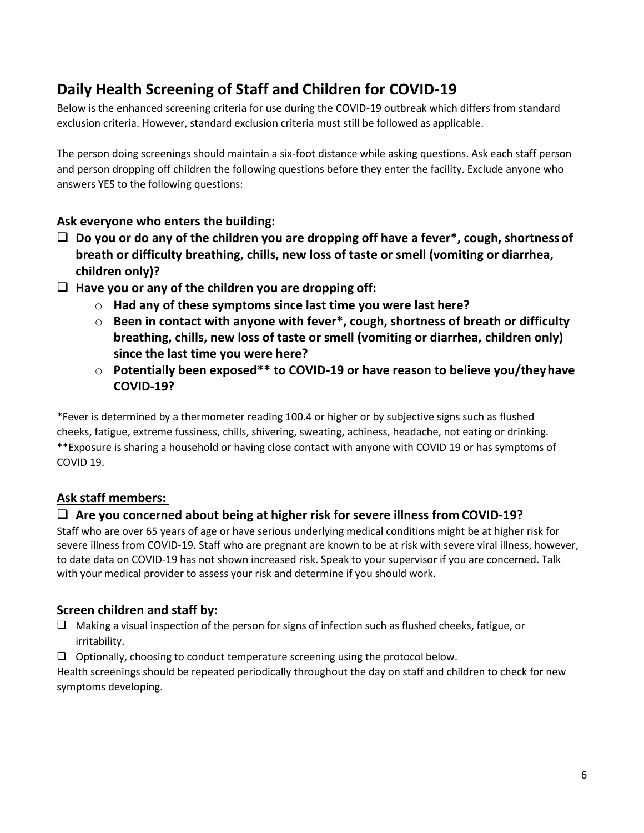# **Daily Health Screening of Staff and Children for COVID-19**

Below is the enhanced screening criteria for use during the COVID-19 outbreak which differs from [standard](http://healthychildcare.unc.edu/resources/communicable-diseases-and-exclusion-from-child-care/) [exclusion criteria. H](http://healthychildcare.unc.edu/resources/communicable-diseases-and-exclusion-from-child-care/)owever, standard exclusion criteria must still be followed as applicable.

The person doing screenings should maintain a six-foot distance while asking questions. Ask each staff person and person dropping off children the following questions before they enter the facility. Exclude anyone who answers YES to the following questions:

# **Ask everyone who enters the building:**

- ❑ **Do you or do any of the children you are dropping off have a fever\*, cough, shortness of breath or difficulty breathing, chills, new loss of taste or smell (vomiting or diarrhea, children only)?**
- ❑ **Have you or any of the children you are dropping off:**
	- o **Had any of these symptoms since last time you were last here?**
	- o **Been in contact with anyone with fever\*, cough, shortness of breath or difficulty breathing, chills, new loss of taste or smell (vomiting or diarrhea, children only) since the last time you were here?**
	- o **Potentially been exposed\*\* to COVID-19 or have reason to believe you/theyhave COVID-19?**

\*Fever is determined by a thermometer reading 100.4 or higher or by subjective signs such as flushed cheeks, fatigue, extreme fussiness, chills, shivering, sweating, achiness, headache, not eating or drinking. \*\*Exposure is sharing a household or having close contact with anyone with COVID 19 or has symptoms of COVID 19.

# **Ask staff members:**

# ❑ **Are you concerned about being at higher risk for severe illness from COVID-19?**

Staff who are over 65 years of age or have serious underlying medical conditions might be at higher risk for severe illness from COVID-19. Staff who are pregnant are known to be at risk with severe viral illness, however, to date data on COVID-19 has not shown increased risk. Speak to your supervisor if you are concerned. Talk with your medical provider to assess your risk and determine if you should work.

# **Screen children and staff by:**

- ❑ Making a visual inspection of the person for signs of infection such as flushed cheeks, fatigue, or irritability.
- ❑ Optionally, choosing to conduct temperature screening using the protocol below.

Health screenings should be repeated periodically throughout the day on staff and children to check for new symptoms developing.